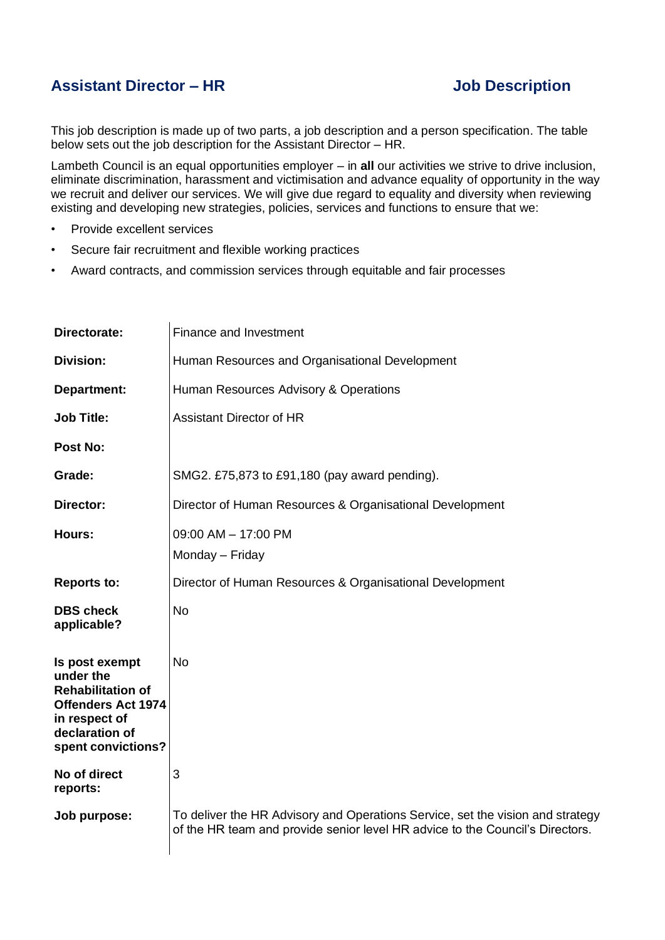## **Assistant Director – HR Job Description**

This job description is made up of two parts, a job description and a person specification. The table below sets out the job description for the Assistant Director – HR.

Lambeth Council is an equal opportunities employer – in **all** our activities we strive to drive inclusion, eliminate discrimination, harassment and victimisation and advance equality of opportunity in the way we recruit and deliver our services. We will give due regard to equality and diversity when reviewing existing and developing new strategies, policies, services and functions to ensure that we:

- Provide excellent services
- Secure fair recruitment and flexible working practices
- Award contracts, and commission services through equitable and fair processes

| Directorate:                                                                                                                                  | <b>Finance and Investment</b>                                                                                                                                   |
|-----------------------------------------------------------------------------------------------------------------------------------------------|-----------------------------------------------------------------------------------------------------------------------------------------------------------------|
| <b>Division:</b>                                                                                                                              | Human Resources and Organisational Development                                                                                                                  |
| Department:                                                                                                                                   | Human Resources Advisory & Operations                                                                                                                           |
| <b>Job Title:</b>                                                                                                                             | <b>Assistant Director of HR</b>                                                                                                                                 |
| Post No:                                                                                                                                      |                                                                                                                                                                 |
| Grade:                                                                                                                                        | SMG2. £75,873 to £91,180 (pay award pending).                                                                                                                   |
| Director:                                                                                                                                     | Director of Human Resources & Organisational Development                                                                                                        |
| Hours:                                                                                                                                        | 09:00 AM - 17:00 PM<br>Monday - Friday                                                                                                                          |
| <b>Reports to:</b>                                                                                                                            | Director of Human Resources & Organisational Development                                                                                                        |
| <b>DBS</b> check<br>applicable?                                                                                                               | <b>No</b>                                                                                                                                                       |
| Is post exempt<br>under the<br><b>Rehabilitation of</b><br><b>Offenders Act 1974</b><br>in respect of<br>declaration of<br>spent convictions? | <b>No</b>                                                                                                                                                       |
| No of direct<br>reports:                                                                                                                      | 3                                                                                                                                                               |
| Job purpose:                                                                                                                                  | To deliver the HR Advisory and Operations Service, set the vision and strategy<br>of the HR team and provide senior level HR advice to the Council's Directors. |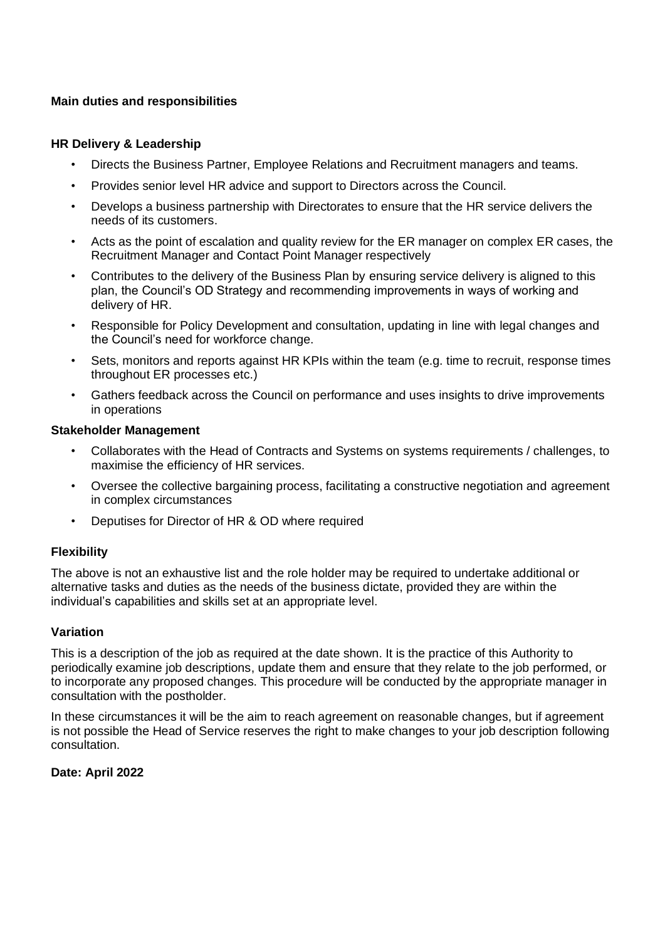### **Main duties and responsibilities**

#### **HR Delivery & Leadership**

- Directs the Business Partner, Employee Relations and Recruitment managers and teams.
- Provides senior level HR advice and support to Directors across the Council.
- Develops a business partnership with Directorates to ensure that the HR service delivers the needs of its customers.
- Acts as the point of escalation and quality review for the ER manager on complex ER cases, the Recruitment Manager and Contact Point Manager respectively
- Contributes to the delivery of the Business Plan by ensuring service delivery is aligned to this plan, the Council's OD Strategy and recommending improvements in ways of working and delivery of HR.
- Responsible for Policy Development and consultation, updating in line with legal changes and the Council's need for workforce change.
- Sets, monitors and reports against HR KPIs within the team (e.g. time to recruit, response times throughout ER processes etc.)
- Gathers feedback across the Council on performance and uses insights to drive improvements in operations

#### **Stakeholder Management**

- Collaborates with the Head of Contracts and Systems on systems requirements / challenges, to maximise the efficiency of HR services.
- Oversee the collective bargaining process, facilitating a constructive negotiation and agreement in complex circumstances
- Deputises for Director of HR & OD where required

#### **Flexibility**

The above is not an exhaustive list and the role holder may be required to undertake additional or alternative tasks and duties as the needs of the business dictate, provided they are within the individual's capabilities and skills set at an appropriate level.

#### **Variation**

This is a description of the job as required at the date shown. It is the practice of this Authority to periodically examine job descriptions, update them and ensure that they relate to the job performed, or to incorporate any proposed changes. This procedure will be conducted by the appropriate manager in consultation with the postholder.

In these circumstances it will be the aim to reach agreement on reasonable changes, but if agreement is not possible the Head of Service reserves the right to make changes to your job description following consultation.

#### **Date: April 2022**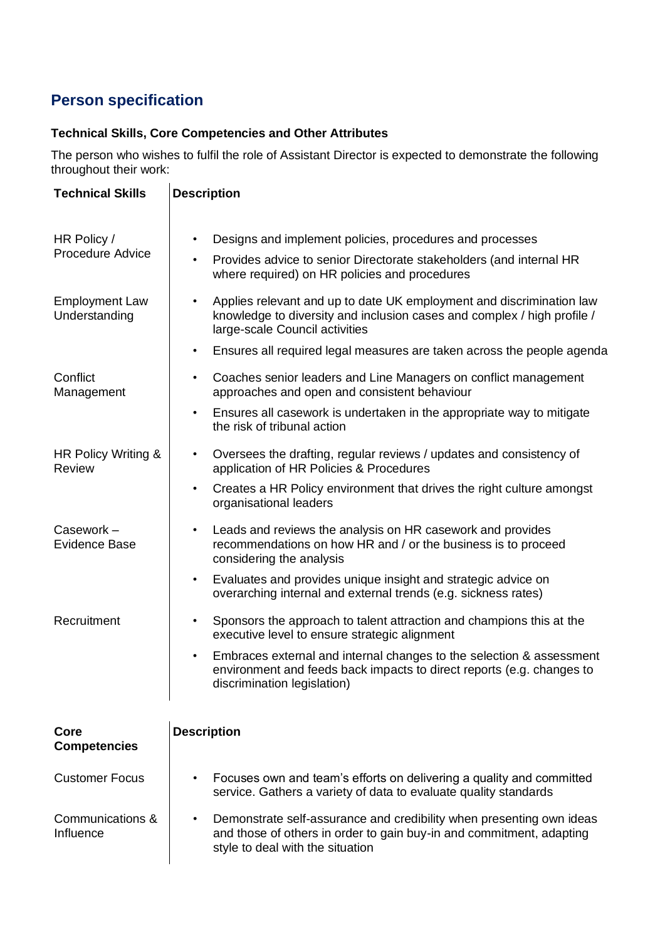# **Person specification**

## **Technical Skills, Core Competencies and Other Attributes**

The person who wishes to fulfil the role of Assistant Director is expected to demonstrate the following throughout their work:

| <b>Technical Skills</b>                | <b>Description</b>                                                                                                                                                                            |
|----------------------------------------|-----------------------------------------------------------------------------------------------------------------------------------------------------------------------------------------------|
| HR Policy /<br><b>Procedure Advice</b> | Designs and implement policies, procedures and processes<br>Provides advice to senior Directorate stakeholders (and internal HR<br>$\bullet$<br>where required) on HR policies and procedures |
| <b>Employment Law</b><br>Understanding | Applies relevant and up to date UK employment and discrimination law<br>knowledge to diversity and inclusion cases and complex / high profile /<br>large-scale Council activities             |
|                                        | Ensures all required legal measures are taken across the people agenda<br>$\bullet$                                                                                                           |
| Conflict<br>Management                 | Coaches senior leaders and Line Managers on conflict management<br>$\bullet$<br>approaches and open and consistent behaviour                                                                  |
|                                        | Ensures all casework is undertaken in the appropriate way to mitigate<br>$\bullet$<br>the risk of tribunal action                                                                             |
| HR Policy Writing &<br><b>Review</b>   | Oversees the drafting, regular reviews / updates and consistency of<br>$\bullet$<br>application of HR Policies & Procedures                                                                   |
|                                        | Creates a HR Policy environment that drives the right culture amongst<br>$\bullet$<br>organisational leaders                                                                                  |
| Casework-<br><b>Evidence Base</b>      | Leads and reviews the analysis on HR casework and provides<br>$\bullet$<br>recommendations on how HR and / or the business is to proceed<br>considering the analysis                          |
|                                        | Evaluates and provides unique insight and strategic advice on<br>$\bullet$<br>overarching internal and external trends (e.g. sickness rates)                                                  |
| Recruitment                            | Sponsors the approach to talent attraction and champions this at the<br>$\bullet$<br>executive level to ensure strategic alignment                                                            |
|                                        | Embraces external and internal changes to the selection & assessment<br>$\bullet$<br>environment and feeds back impacts to direct reports (e.g. changes to<br>discrimination legislation)     |
| Core<br><b>Competencies</b>            | <b>Description</b>                                                                                                                                                                            |
| <b>Customer Focus</b>                  | Focuses own and team's efforts on delivering a quality and committed<br>service. Gathers a variety of data to evaluate quality standards                                                      |
| Communications &<br>Influence          | Demonstrate self-assurance and credibility when presenting own ideas<br>and those of others in order to gain buy-in and commitment, adapting<br>style to deal with the situation              |